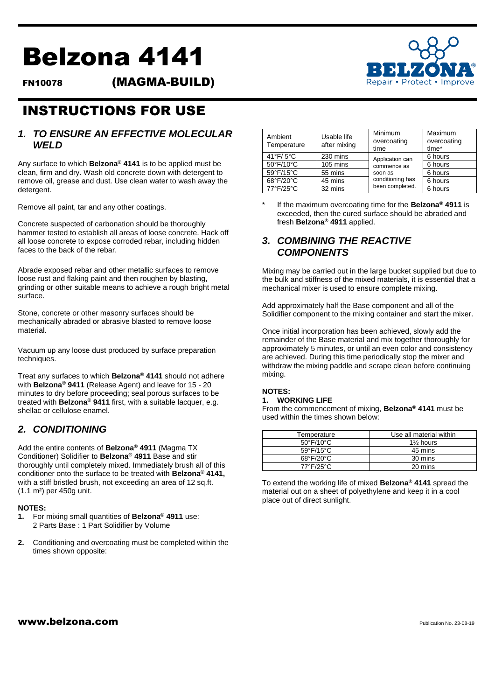# Belzona 4141

FN10078 (MAGMA-BUILD)



## INSTRUCTIONS FOR USE

## *1. TO ENSURE AN EFFECTIVE MOLECULAR WELD*

Any surface to which **Belzona® 4141** is to be applied must be clean, firm and dry. Wash old concrete down with detergent to remove oil, grease and dust. Use clean water to wash away the detergent.

Remove all paint, tar and any other coatings.

Concrete suspected of carbonation should be thoroughly hammer tested to establish all areas of loose concrete. Hack off all loose concrete to expose corroded rebar, including hidden faces to the back of the rebar.

Abrade exposed rebar and other metallic surfaces to remove loose rust and flaking paint and then roughen by blasting, grinding or other suitable means to achieve a rough bright metal surface.

Stone, concrete or other masonry surfaces should be mechanically abraded or abrasive blasted to remove loose material.

Vacuum up any loose dust produced by surface preparation techniques.

Treat any surfaces to which **Belzona® 4141** should not adhere with **Belzona® 9411** (Release Agent) and leave for 15 - 20 minutes to dry before proceeding; seal porous surfaces to be treated with **Belzona® 9411** first, with a suitable lacquer, e.g. shellac or cellulose enamel.

## *2. CONDITIONING*

Add the entire contents of **Belzona® 4911** (Magma TX Conditioner) Solidifier to **Belzona® 4911** Base and stir thoroughly until completely mixed. Immediately brush all of this conditioner onto the surface to be treated with **Belzona® 4141,**  with a stiff bristled brush, not exceeding an area of 12 sq.ft. (1.1 m²) per 450g unit.

## **NOTES:**

- **1.** For mixing small quantities of **Belzona® 4911** use: 2 Parts Base : 1 Part Solidifier by Volume
- **2.** Conditioning and overcoating must be completed within the times shown opposite:

| Ambient<br>Temperature | Usable life<br>after mixing | Minimum<br>overcoating<br>time                                                   | Maximum<br>overcoating<br>tlme* |
|------------------------|-----------------------------|----------------------------------------------------------------------------------|---------------------------------|
| $41^{\circ}$ F/5°C     | 230 mins                    | Application can<br>commence as<br>soon as<br>conditioning has<br>been completed. | 6 hours                         |
| 50°F/10°C              | 105 mins                    |                                                                                  | 6 hours                         |
| 59°F/15°C              | 55 mins                     |                                                                                  | 6 hours                         |
| 68°F/20°C              | 45 mins                     |                                                                                  | 6 hours                         |
| 77°F/25°C              | 32 mins                     |                                                                                  | 6 hours                         |

\* If the maximum overcoating time for the **Belzona® 4911** is exceeded, then the cured surface should be abraded and fresh **Belzona® 4911** applied.

## *3. COMBINING THE REACTIVE COMPONENTS*

Mixing may be carried out in the large bucket supplied but due to the bulk and stiffness of the mixed materials, it is essential that a mechanical mixer is used to ensure complete mixing.

Add approximately half the Base component and all of the Solidifier component to the mixing container and start the mixer.

Once initial incorporation has been achieved, slowly add the remainder of the Base material and mix together thoroughly for approximately 5 minutes, or until an even color and consistency are achieved. During this time periodically stop the mixer and withdraw the mixing paddle and scrape clean before continuing mixing.

## **NOTES: 1. WORKING LIFE**

From the commencement of mixing, **Belzona® 4141** must be used within the times shown below:

| Temperature                    | Use all material within |  |
|--------------------------------|-------------------------|--|
| $50^{\circ}$ F/10 $^{\circ}$ C | $1\frac{1}{2}$ hours    |  |
| $59^{\circ}$ F/15°C            | 45 mins                 |  |
| $68^{\circ}F/20^{\circ}C$      | 30 mins                 |  |
| $77^{\circ}F/25^{\circ}C$      | 20 mins                 |  |

To extend the working life of mixed **Belzona® 4141** spread the material out on a sheet of polyethylene and keep it in a cool place out of direct sunlight.